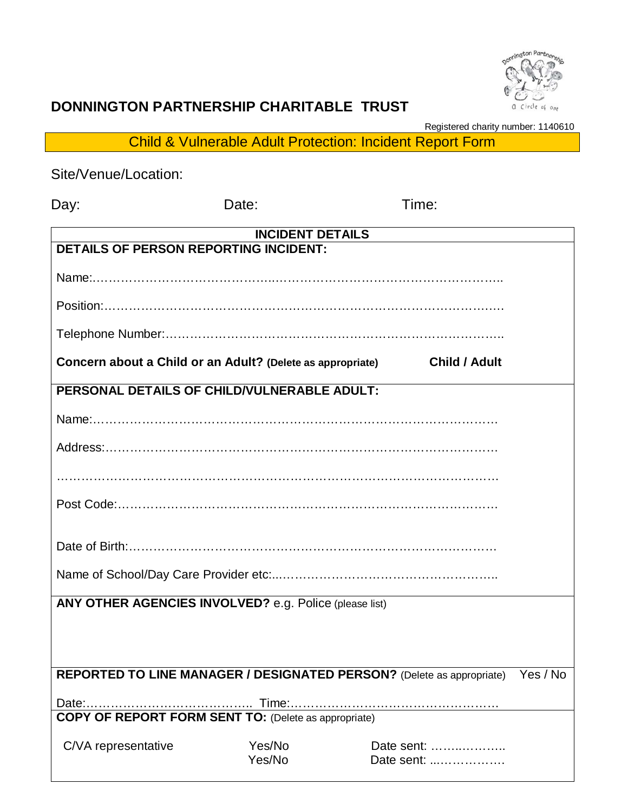

## **DONNINGTON PARTNERSHIP CHARITABLE TRUST**

Registered charity number: 1140610

Child & Vulnerable Adult Protection: Incident Report Form

| Site/Venue/Location:                                                    |                  |                                                                              |          |
|-------------------------------------------------------------------------|------------------|------------------------------------------------------------------------------|----------|
| Day:                                                                    | Date:            | Time:                                                                        |          |
| <b>INCIDENT DETAILS</b><br><b>DETAILS OF PERSON REPORTING INCIDENT:</b> |                  |                                                                              |          |
|                                                                         |                  |                                                                              |          |
|                                                                         |                  |                                                                              |          |
|                                                                         |                  |                                                                              |          |
|                                                                         |                  |                                                                              |          |
| Concern about a Child or an Adult? (Delete as appropriate)              |                  | <b>Child / Adult</b>                                                         |          |
| PERSONAL DETAILS OF CHILD/VULNERABLE ADULT:                             |                  |                                                                              |          |
|                                                                         |                  |                                                                              |          |
|                                                                         |                  |                                                                              |          |
|                                                                         |                  |                                                                              |          |
|                                                                         |                  |                                                                              |          |
|                                                                         |                  |                                                                              |          |
|                                                                         |                  |                                                                              |          |
| ANY OTHER AGENCIES INVOLVED? e.g. Police (please list)                  |                  |                                                                              |          |
|                                                                         |                  |                                                                              |          |
|                                                                         |                  |                                                                              |          |
|                                                                         |                  | <b>REPORTED TO LINE MANAGER / DESIGNATED PERSON?</b> (Delete as appropriate) | Yes / No |
|                                                                         |                  |                                                                              |          |
| <b>COPY OF REPORT FORM SENT TO: (Delete as appropriate)</b>             |                  |                                                                              |          |
| C/VA representative                                                     | Yes/No<br>Yes/No | Date sent:<br>Date sent:                                                     |          |